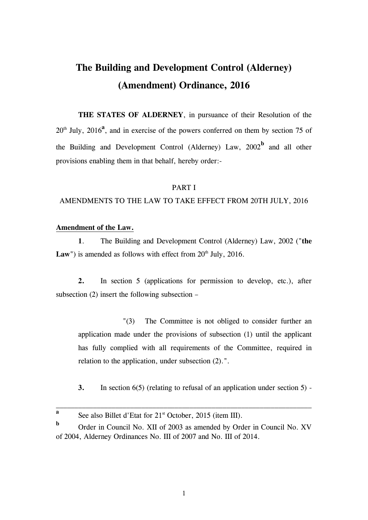# **The Building and Development Control (Alderney) (Amendment) Ordinance, 2016**

**THE STATES OF ALDERNEY**, in pursuance of their Resolution of the  $20<sup>th</sup>$  July,  $2016<sup>a</sup>$ , and in exercise of the powers conferred on them by section 75 of the Building and Development Control (Alderney) Law,  $2002<sup>b</sup>$  and all other provisions enabling them in that behalf, hereby order:-

### PART I

### AMENDMENTS TO THE LAW TO TAKE EFFECT FROM 20TH JULY, 2016

# **Amendment of the Law.**

**1**. The Building and Development Control (Alderney) Law, 2002 ("**the Law**") is amended as follows with effect from  $20<sup>th</sup>$  July,  $2016$ .

**2.** In section 5 (applications for permission to develop, etc.), after subsection (2) insert the following subsection –

"(3) The Committee is not obliged to consider further an application made under the provisions of subsection (1) until the applicant has fully complied with all requirements of the Committee, required in relation to the application, under subsection (2).".

**3.** In section 6(5) (relating to refusal of an application under section 5) -

1

**a** See also Billet d'Etat for 21<sup>st</sup> October, 2015 (item III).

**b** Order in Council No. XII of 2003 as amended by Order in Council No. XV of 2004, Alderney Ordinances No. III of 2007 and No. III of 2014.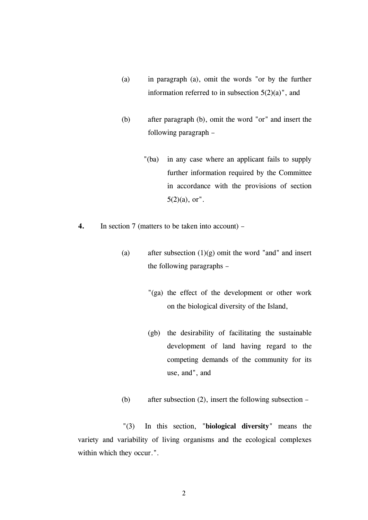- (a) in paragraph (a), omit the words "or by the further information referred to in subsection  $5(2)(a)$ ", and
- (b) after paragraph (b), omit the word "or" and insert the following paragraph –
	- "(ba) in any case where an applicant fails to supply further information required by the Committee in accordance with the provisions of section  $5(2)(a)$ , or".
- **4.** In section 7 (matters to be taken into account)
	- (a) after subsection  $(1)(g)$  omit the word "and" and insert the following paragraphs –
		- "(ga) the effect of the development or other work on the biological diversity of the Island,
		- (gb) the desirability of facilitating the sustainable development of land having regard to the competing demands of the community for its use, and", and
	- (b) after subsection (2), insert the following subsection –

"(3) In this section, "**biological diversity**" means the variety and variability of living organisms and the ecological complexes within which they occur.".

2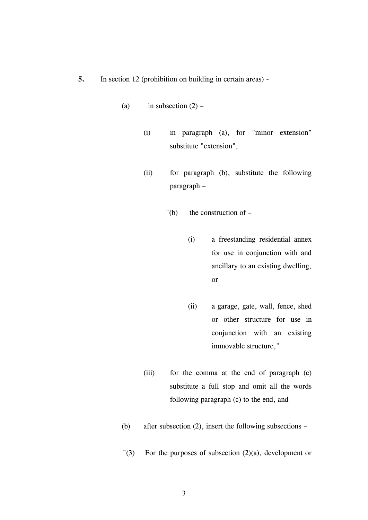- **5.** In section 12 (prohibition on building in certain areas)
	- (a) in subsection  $(2)$ 
		- (i) in paragraph (a), for "minor extension" substitute "extension",
		- (ii) for paragraph (b), substitute the following paragraph –
			- $"$ (b) the construction of  $-$ 
				- (i) a freestanding residential annex for use in conjunction with and ancillary to an existing dwelling, or
				- (ii) a garage, gate, wall, fence, shed or other structure for use in conjunction with an existing immovable structure,"
		- (iii) for the comma at the end of paragraph (c) substitute a full stop and omit all the words following paragraph (c) to the end, and
	- (b) after subsection (2), insert the following subsections –
	- "(3) For the purposes of subsection (2)(a), development or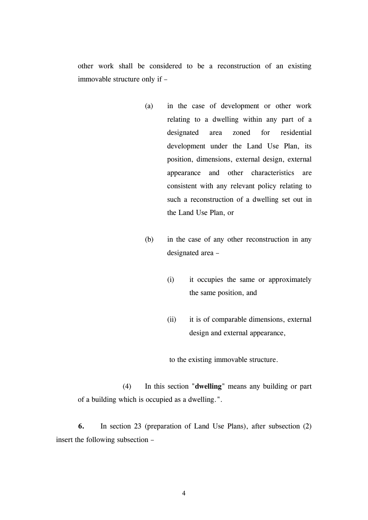other work shall be considered to be a reconstruction of an existing immovable structure only if –

- (a) in the case of development or other work relating to a dwelling within any part of a designated area zoned for residential development under the Land Use Plan, its position, dimensions, external design, external appearance and other characteristics are consistent with any relevant policy relating to such a reconstruction of a dwelling set out in the Land Use Plan, or
- (b) in the case of any other reconstruction in any designated area –
	- (i) it occupies the same or approximately the same position, and
	- (ii) it is of comparable dimensions, external design and external appearance,

to the existing immovable structure.

(4) In this section "**dwelling**" means any building or part of a building which is occupied as a dwelling.".

**6.** In section 23 (preparation of Land Use Plans), after subsection (2) insert the following subsection –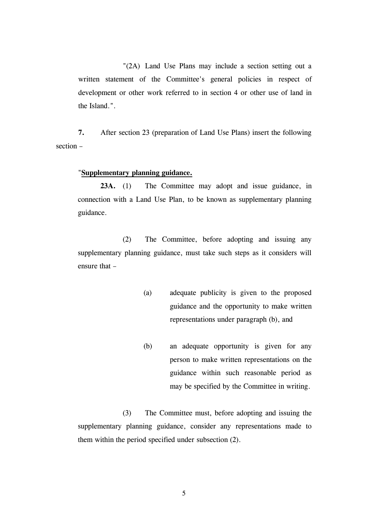"(2A) Land Use Plans may include a section setting out a written statement of the Committee's general policies in respect of development or other work referred to in section 4 or other use of land in the Island.".

**7.** After section 23 (preparation of Land Use Plans) insert the following section –

### "**Supplementary planning guidance.**

23A. (1) The Committee may adopt and issue guidance, in connection with a Land Use Plan, to be known as supplementary planning guidance.

(2) The Committee, before adopting and issuing any supplementary planning guidance, must take such steps as it considers will ensure that –

- (a) adequate publicity is given to the proposed guidance and the opportunity to make written representations under paragraph (b), and
- (b) an adequate opportunity is given for any person to make written representations on the guidance within such reasonable period as may be specified by the Committee in writing.

(3) The Committee must, before adopting and issuing the supplementary planning guidance, consider any representations made to them within the period specified under subsection (2).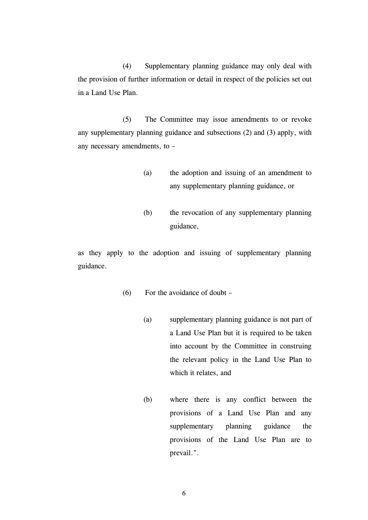(4) Supplementary planning guidance may only deal with the provision of further information or detail in respect of the policies set out in a Land Use Plan.

(5) The Committee may issue amendments to or revoke any supplementary planning guidance and subsections (2) and (3) apply, with any necessary amendments, to –

- (a) the adoption and issuing of an amendment to any supplementary planning guidance, or
- (b) the revocation of any supplementary planning guidance,

as they apply to the adoption and issuing of supplementary planning guidance.

- (6) For the avoidance of doubt
	- (a) supplementary planning guidance is not part of a Land Use Plan but it is required to be taken into account by the Committee in construing the relevant policy in the Land Use Plan to which it relates, and
	- (b) where there is any conflict between the provisions of a Land Use Plan and any supplementary planning guidance the provisions of the Land Use Plan are to prevail.".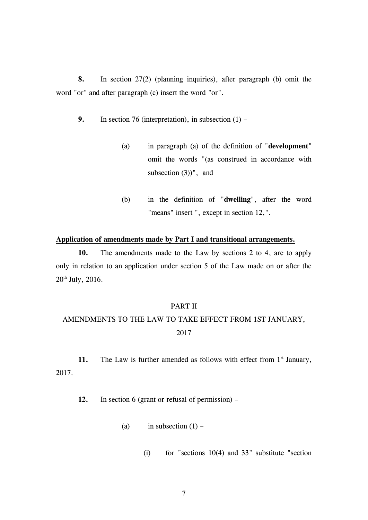**8.** In section 27(2) (planning inquiries), after paragraph (b) omit the word "or" and after paragraph (c) insert the word "or".

**9.** In section 76 (interpretation), in subsection (1) –

- (a) in paragraph (a) of the definition of "**development**" omit the words "(as construed in accordance with subsection (3))", and
- (b) in the definition of "**dwelling**", after the word "means" insert ", except in section 12,".

### **Application of amendments made by Part I and transitional arrangements.**

**10.** The amendments made to the Law by sections 2 to 4, are to apply only in relation to an application under section 5 of the Law made on or after the 20th July, 2016.

#### PART II

# AMENDMENTS TO THE LAW TO TAKE EFFECT FROM 1ST JANUARY, 2017

11. The Law is further amended as follows with effect from 1<sup>st</sup> January, 2017.

**12.** In section 6 (grant or refusal of permission) –

- (a) in subsection  $(1)$ 
	- (i) for "sections  $10(4)$  and  $33$ " substitute "section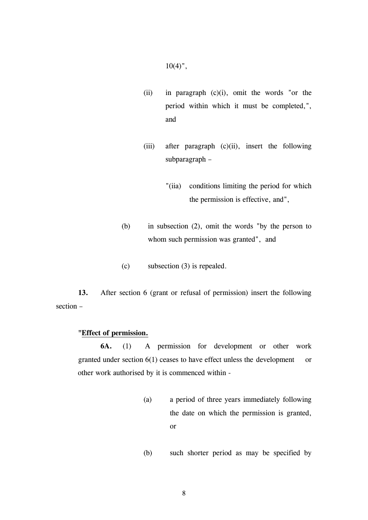$10(4)$ ",

- (ii) in paragraph (c)(i), omit the words "or the period within which it must be completed,", and
- (iii) after paragraph (c)(ii), insert the following subparagraph –
	- "(iia) conditions limiting the period for which the permission is effective, and",
- (b) in subsection (2), omit the words "by the person to whom such permission was granted", and
- (c) subsection (3) is repealed.

**13.** After section 6 (grant or refusal of permission) insert the following section –

#### **"Effect of permission.**

**6A.** (1) A permission for development or other work granted under section 6(1) ceases to have effect unless the development or other work authorised by it is commenced within -

- (a) a period of three years immediately following the date on which the permission is granted, or
- (b) such shorter period as may be specified by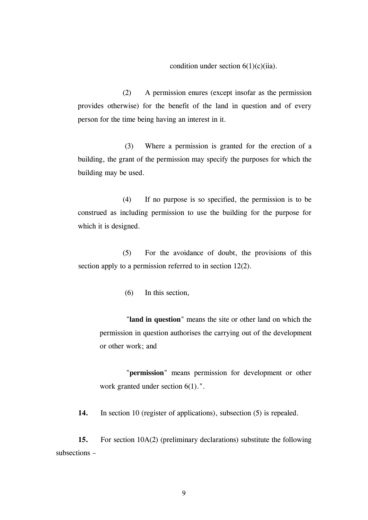condition under section  $6(1)(c)(iia)$ .

(2) A permission enures (except insofar as the permission provides otherwise) for the benefit of the land in question and of every person for the time being having an interest in it.

(3) Where a permission is granted for the erection of a building, the grant of the permission may specify the purposes for which the building may be used.

(4) If no purpose is so specified, the permission is to be construed as including permission to use the building for the purpose for which it is designed.

(5) For the avoidance of doubt, the provisions of this section apply to a permission referred to in section 12(2).

(6) In this section,

"**land in question**" means the site or other land on which the permission in question authorises the carrying out of the development or other work; and

"**permission**" means permission for development or other work granted under section 6(1).".

14. In section 10 (register of applications), subsection (5) is repealed.

**15.** For section 10A(2) (preliminary declarations) substitute the following subsections –

9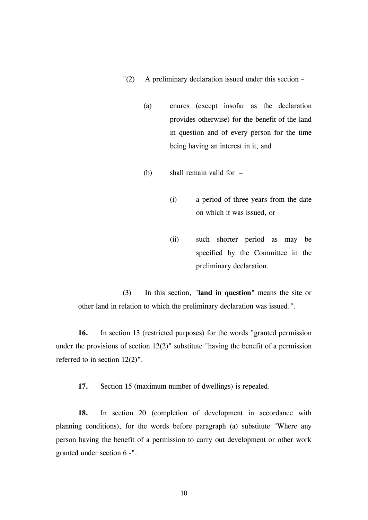"(2) A preliminary declaration issued under this section –

- (a) enures (except insofar as the declaration provides otherwise) for the benefit of the land in question and of every person for the time being having an interest in it, and
- (b) shall remain valid for
	- (i) a period of three years from the date on which it was issued, or
	- (ii) such shorter period as may be specified by the Committee in the preliminary declaration.

(3) In this section, "**land in question**" means the site or other land in relation to which the preliminary declaration was issued.".

**16.** In section 13 (restricted purposes) for the words "granted permission under the provisions of section  $12(2)$ " substitute "having the benefit of a permission referred to in section 12(2)".

**17.** Section 15 (maximum number of dwellings) is repealed.

**18.** In section 20 (completion of development in accordance with planning conditions), for the words before paragraph (a) substitute "Where any person having the benefit of a permission to carry out development or other work granted under section 6 -".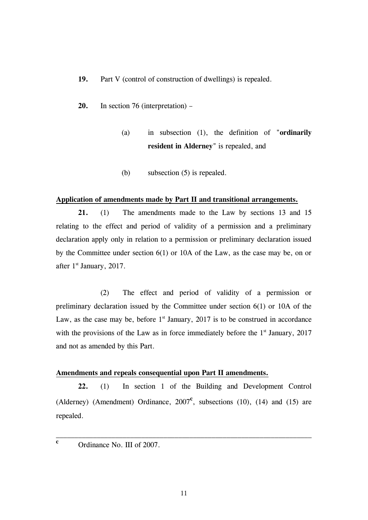- **19.** Part V (control of construction of dwellings) is repealed.
- **20.** In section 76 (interpretation)
	- (a) in subsection (1), the definition of "**ordinarily resident in Alderney**" is repealed, and
	- (b) subsection (5) is repealed.

#### **Application of amendments made by Part II and transitional arrangements.**

**21.** (1) The amendments made to the Law by sections 13 and 15 relating to the effect and period of validity of a permission and a preliminary declaration apply only in relation to a permission or preliminary declaration issued by the Committee under section 6(1) or 10A of the Law, as the case may be, on or after  $1<sup>st</sup>$  January, 2017.

(2) The effect and period of validity of a permission or preliminary declaration issued by the Committee under section 6(1) or 10A of the Law, as the case may be, before  $1<sup>st</sup>$  January, 2017 is to be construed in accordance with the provisions of the Law as in force immediately before the  $1<sup>st</sup>$  January, 2017 and not as amended by this Part.

#### **Amendments and repeals consequential upon Part II amendments.**

**22.** (1) In section 1 of the Building and Development Control (Alderney) (Amendment) Ordinance,  $2007^{\circ}$ , subsections (10), (14) and (15) are repealed.

Ordinance No. III of 2007.

**c**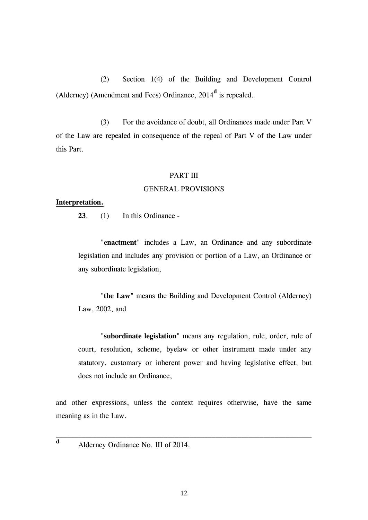(2) Section 1(4) of the Building and Development Control (Alderney) (Amendment and Fees) Ordinance, 2014**<sup>d</sup>** is repealed.

(3) For the avoidance of doubt, all Ordinances made under Part V of the Law are repealed in consequence of the repeal of Part V of the Law under this Part.

# PART III

#### GENERAL PROVISIONS

#### **Interpretation.**

**23**. (1) In this Ordinance -

"**enactment**" includes a Law, an Ordinance and any subordinate legislation and includes any provision or portion of a Law, an Ordinance or any subordinate legislation,

"**the Law**" means the Building and Development Control (Alderney) Law, 2002, and

"**subordinate legislation**" means any regulation, rule, order, rule of court, resolution, scheme, byelaw or other instrument made under any statutory, customary or inherent power and having legislative effect, but does not include an Ordinance,

and other expressions, unless the context requires otherwise, have the same meaning as in the Law.

Alderney Ordinance No. III of 2014.

**d**